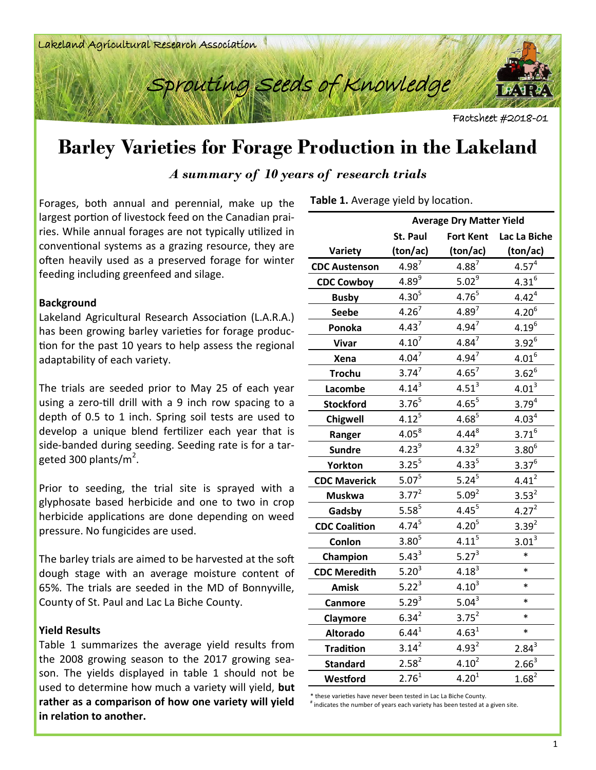



Factsheet #2018-01

# **Barley Varieties for Forage Production in the Lakeland**

*A summary of 10 years of research trials*

Forages, both annual and perennial, make up the largest portion of livestock feed on the Canadian prairies. While annual forages are not typically utilized in conventional systems as a grazing resource, they are often heavily used as a preserved forage for winter feeding including greenfeed and silage.

## **Background**

Lakeland Agricultural Research Association (L.A.R.A.) has been growing barley varieties for forage production for the past 10 years to help assess the regional adaptability of each variety.

The trials are seeded prior to May 25 of each year using a zero-till drill with a 9 inch row spacing to a depth of 0.5 to 1 inch. Spring soil tests are used to develop a unique blend fertilizer each year that is side-banded during seeding. Seeding rate is for a targeted 300 plants/m<sup>2</sup>.

Prior to seeding, the trial site is sprayed with a glyphosate based herbicide and one to two in crop herbicide applications are done depending on weed pressure. No fungicides are used.

The barley trials are aimed to be harvested at the soft dough stage with an average moisture content of 65%. The trials are seeded in the MD of Bonnyville, County of St. Paul and Lac La Biche County.

## **Yield Results**

Table 1 summarizes the average yield results from the 2008 growing season to the 2017 growing season. The yields displayed in table 1 should not be used to determine how much a variety will yield, **but rather as a comparison of how one variety will yield in relation to another.** 

**Table 1.** Average yield by location.

|                      | <b>Average Dry Matter Yield</b> |                    |                   |  |  |  |  |  |
|----------------------|---------------------------------|--------------------|-------------------|--|--|--|--|--|
|                      | St. Paul                        | <b>Fort Kent</b>   | Lac La Biche      |  |  |  |  |  |
| Variety              | (ton/ac)                        | (ton/ac)           | (ton/ac)          |  |  |  |  |  |
| <b>CDC Austenson</b> | $4.98^{7}$                      | $4.88^{7}$         | $4.57^{4}$        |  |  |  |  |  |
| <b>CDC Cowboy</b>    | $4.89^9$                        | $\frac{5.02^9}{ }$ | $4.31^{6}$        |  |  |  |  |  |
| <b>Busby</b>         | $4.30^{5}$                      | $4.76^{5}$         | $4.42^{4}$        |  |  |  |  |  |
| <b>Seebe</b>         | $4.26^{7}$                      | $4.89^{7}$         | $4.20^{6}$        |  |  |  |  |  |
| Ponoka               | $4.43^7$                        | $4.94^{7}$         | $4.19^{6}$        |  |  |  |  |  |
| <b>Vivar</b>         | $4.10^{7}$                      | $4.84^{7}$         | $3.92^{6}$        |  |  |  |  |  |
| Xena                 | $4.04^7$                        | $4.94^{7}$         | $4.01^{6}$        |  |  |  |  |  |
| <b>Trochu</b>        | $3.74^{7}$                      | $4.65^7$           | $3.62^6$          |  |  |  |  |  |
| Lacombe              | $4.14^{3}$                      | $4.51^{3}$         | $4.01^3$          |  |  |  |  |  |
| <b>Stockford</b>     | $3.76^{5}$                      | $4.65^{5}$         | $3.79^{4}$        |  |  |  |  |  |
| <b>Chigwell</b>      | $4.12^{5}$                      | $4.68^{5}$         | 4.03 <sup>4</sup> |  |  |  |  |  |
| Ranger               | $4.05^{8}$                      | $4.44^{8}$         | $3.71^{6}$        |  |  |  |  |  |
| <b>Sundre</b>        | $4.23^{9}$                      | $4.32^{9}$         | $3.80^{6}$        |  |  |  |  |  |
| <b>Yorkton</b>       | $3.25^{5}$                      | $4.33^{5}$         | $3.37^{6}$        |  |  |  |  |  |
| <b>CDC Maverick</b>  | $5.07^{5}$                      | $5.24^{5}$         | $4.41^{2}$        |  |  |  |  |  |
| <b>Muskwa</b>        | $3.77^{2}$                      | 5.09 <sup>2</sup>  | $3.53^{2}$        |  |  |  |  |  |
| Gadsby               | $5.58^{5}$                      | $4.45^{5}$         | $4.27^{2}$        |  |  |  |  |  |
| <b>CDC Coalition</b> | $4.74^{5}$                      | $4.20^{5}$         | $3.39^{2}$        |  |  |  |  |  |
| Conlon               | $3.80^{5}$                      | $4.11^{5}$         | $3.01^3$          |  |  |  |  |  |
| Champion             | $5.43^3$                        | $5.27^{3}$         | $\ast$            |  |  |  |  |  |
| <b>CDC Meredith</b>  | $5.20^{3}$                      | $4.18^{3}$         | $\ast$            |  |  |  |  |  |
| <b>Amisk</b>         | $\frac{5.22^3}{ }$              | $4.10^{3}$         | *                 |  |  |  |  |  |
| <b>Canmore</b>       | $5.29^{3}$                      | $5.04^{3}$         | $\ast$            |  |  |  |  |  |
| Claymore             | $6.34^{2}$                      | $3.75^2$           | $\ast$            |  |  |  |  |  |
| <b>Altorado</b>      | $6.44^{1}$                      | $4.63^{1}$         | $\ast$            |  |  |  |  |  |
| <b>Tradition</b>     | $3.14^{2}$                      | $4.93^{2}$         | $2.84^{3}$        |  |  |  |  |  |
| <b>Standard</b>      | $2.58^{2}$                      | $4.10^{2}$         | $2.66^{3}$        |  |  |  |  |  |
| Westford             | $2.76^{1}$                      | $4.20^{1}$         | $1.68^{2}$        |  |  |  |  |  |

\* these varieties have never been tested in Lac La Biche County. # indicates the number of years each variety has been tested at a given site.